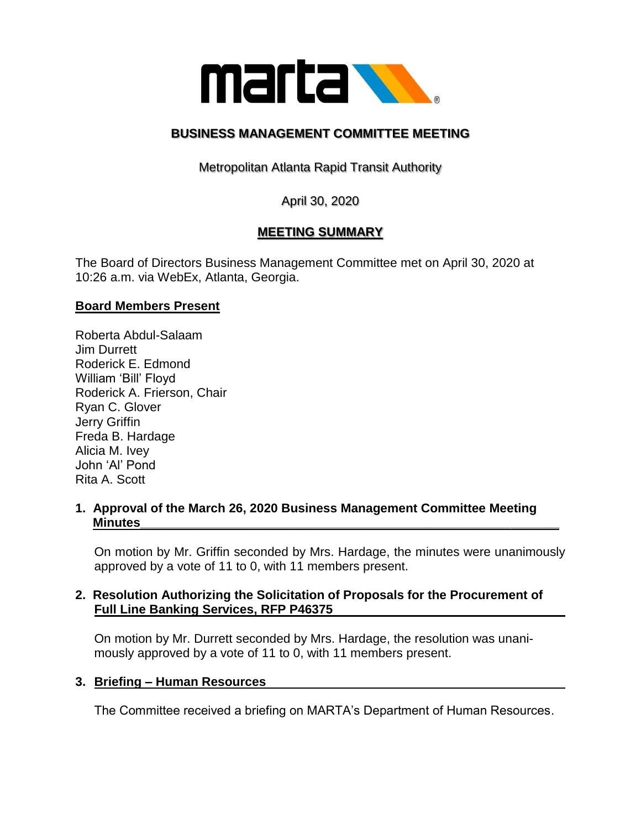

## **BUSINESS MANAGEMENT COMMITTEE MEETING**

Metropolitan Atlanta Rapid Transit Authority

April 30, 2020

# **MEETING SUMMARY**

The Board of Directors Business Management Committee met on April 30, 2020 at 10:26 a.m. via WebEx, Atlanta, Georgia.

#### **Board Members Present**

Roberta Abdul-Salaam Jim Durrett Roderick E. Edmond William 'Bill' Floyd Roderick A. Frierson, Chair Ryan C. Glover Jerry Griffin Freda B. Hardage Alicia M. Ivey John 'Al' Pond Rita A. Scott

#### **1. Approval of the March 26, 2020 Business Management Committee Meeting Minutes\_\_\_\_\_\_\_\_\_\_\_\_\_\_\_\_\_\_\_\_\_\_\_\_\_\_\_\_\_\_\_\_\_\_\_\_\_\_\_\_\_\_\_\_\_\_\_\_\_\_\_\_\_\_\_\_\_\_\_\_**

On motion by Mr. Griffin seconded by Mrs. Hardage, the minutes were unanimously approved by a vote of 11 to 0, with 11 members present.

#### **2. Resolution Authorizing the Solicitation of Proposals for the Procurement of Full Line Banking Services, RFP P46375**

On motion by Mr. Durrett seconded by Mrs. Hardage, the resolution was unanimously approved by a vote of 11 to 0, with 11 members present.

#### **3. Briefing – Human Resources**

The Committee received a briefing on MARTA's Department of Human Resources.